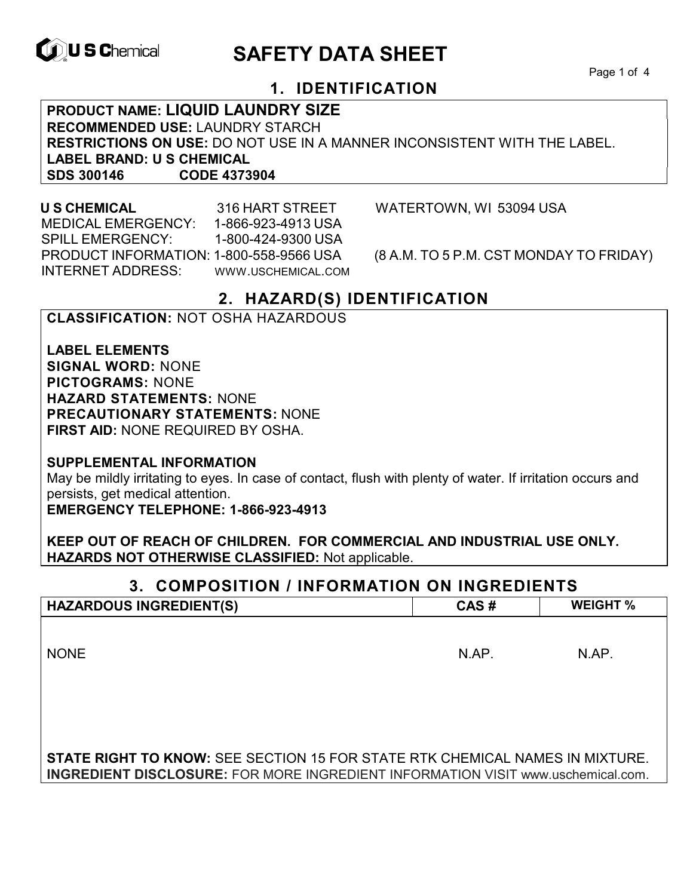

# **ID, U S Chemical CALL SAFETY DATA SHEET**

Page 1 of 4

# **1. IDENTIFICATION**

**PRODUCT NAME: LIQUID LAUNDRY SIZE RECOMMENDED USE:** LAUNDRY STARCH **RESTRICTIONS ON USE:** DO NOT USE IN A MANNER INCONSISTENT WITH THE LABEL. **LABEL BRAND: U S CHEMICAL SDS 300146 CODE 4373904**

 MEDICAL EMERGENCY: 1-866-923-4913 USA SPILL EMERGENCY: 1-800-424-9300 USA PRODUCT INFORMATION: 1-800-558-9566 USA (8 A.M. TO 5 P.M. CST MONDAY TO FRIDAY) INTERNET ADDRESS: WWW.USCHEMICAL.COM

**U S CHEMICAL** 316 HART STREET WATERTOWN, WI 53094 USA

# **2. HAZARD(S) IDENTIFICATION**

## **CLASSIFICATION:** NOT OSHA HAZARDOUS

**LABEL ELEMENTS SIGNAL WORD:** NONE **PICTOGRAMS:** NONE **HAZARD STATEMENTS:** NONE **PRECAUTIONARY STATEMENTS:** NONE **FIRST AID:** NONE REQUIRED BY OSHA.

**SUPPLEMENTAL INFORMATION** 

May be mildly irritating to eyes. In case of contact, flush with plenty of water. If irritation occurs and persists, get medical attention.

**EMERGENCY TELEPHONE: 1-866-923-4913** 

**KEEP OUT OF REACH OF CHILDREN. FOR COMMERCIAL AND INDUSTRIAL USE ONLY. HAZARDS NOT OTHERWISE CLASSIFIED:** Not applicable.

# **3. COMPOSITION / INFORMATION ON INGREDIENTS HAZARDOUS INGREDIENT(S) CAS # WEIGHT %** NONE N.AP. N.AP. N.AP. **STATE RIGHT TO KNOW:** SEE SECTION 15 FOR STATE RTK CHEMICAL NAMES IN MIXTURE.

**INGREDIENT DISCLOSURE:** FOR MORE INGREDIENT INFORMATION VISIT www.uschemical.com.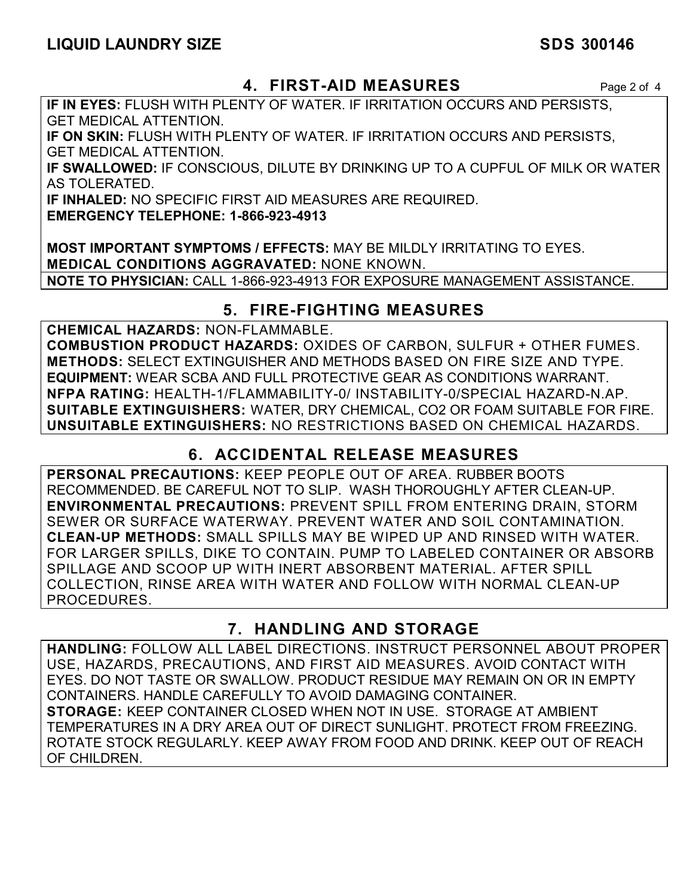# **4. FIRST-AID MEASURES** Page 2 of 4

**IF IN EYES:** FLUSH WITH PLENTY OF WATER. IF IRRITATION OCCURS AND PERSISTS, GET MEDICAL ATTENTION.

**IF ON SKIN:** FLUSH WITH PLENTY OF WATER. IF IRRITATION OCCURS AND PERSISTS, GET MEDICAL ATTENTION.

**IF SWALLOWED:** IF CONSCIOUS, DILUTE BY DRINKING UP TO A CUPFUL OF MILK OR WATER AS TOLERATED.

**IF INHALED:** NO SPECIFIC FIRST AID MEASURES ARE REQUIRED.

**EMERGENCY TELEPHONE: 1-866-923-4913** 

**MOST IMPORTANT SYMPTOMS / EFFECTS:** MAY BE MILDLY IRRITATING TO EYES. **MEDICAL CONDITIONS AGGRAVATED:** NONE KNOWN. **NOTE TO PHYSICIAN:** CALL 1-866-923-4913 FOR EXPOSURE MANAGEMENT ASSISTANCE.

# **5. FIRE-FIGHTING MEASURES**

**CHEMICAL HAZARDS:** NON-FLAMMABLE.

**COMBUSTION PRODUCT HAZARDS:** OXIDES OF CARBON, SULFUR + OTHER FUMES. **METHODS:** SELECT EXTINGUISHER AND METHODS BASED ON FIRE SIZE AND TYPE. **EQUIPMENT:** WEAR SCBA AND FULL PROTECTIVE GEAR AS CONDITIONS WARRANT. **NFPA RATING:** HEALTH-1/FLAMMABILITY-0/ INSTABILITY-0/SPECIAL HAZARD-N.AP. **SUITABLE EXTINGUISHERS:** WATER, DRY CHEMICAL, CO2 OR FOAM SUITABLE FOR FIRE. **UNSUITABLE EXTINGUISHERS:** NO RESTRICTIONS BASED ON CHEMICAL HAZARDS.

# **6. ACCIDENTAL RELEASE MEASURES**

**PERSONAL PRECAUTIONS:** KEEP PEOPLE OUT OF AREA. RUBBER BOOTS RECOMMENDED. BE CAREFUL NOT TO SLIP. WASH THOROUGHLY AFTER CLEAN-UP. **ENVIRONMENTAL PRECAUTIONS:** PREVENT SPILL FROM ENTERING DRAIN, STORM SEWER OR SURFACE WATERWAY. PREVENT WATER AND SOIL CONTAMINATION. **CLEAN-UP METHODS:** SMALL SPILLS MAY BE WIPED UP AND RINSED WITH WATER. FOR LARGER SPILLS, DIKE TO CONTAIN. PUMP TO LABELED CONTAINER OR ABSORB SPILLAGE AND SCOOP UP WITH INERT ABSORBENT MATERIAL. AFTER SPILL COLLECTION, RINSE AREA WITH WATER AND FOLLOW WITH NORMAL CLEAN-UP PROCEDURES.

# **7. HANDLING AND STORAGE**

**HANDLING:** FOLLOW ALL LABEL DIRECTIONS. INSTRUCT PERSONNEL ABOUT PROPER USE, HAZARDS, PRECAUTIONS, AND FIRST AID MEASURES. AVOID CONTACT WITH EYES. DO NOT TASTE OR SWALLOW. PRODUCT RESIDUE MAY REMAIN ON OR IN EMPTY CONTAINERS. HANDLE CAREFULLY TO AVOID DAMAGING CONTAINER. **STORAGE:** KEEP CONTAINER CLOSED WHEN NOT IN USE. STORAGE AT AMBIENT TEMPERATURES IN A DRY AREA OUT OF DIRECT SUNLIGHT. PROTECT FROM FREEZING. ROTATE STOCK REGULARLY. KEEP AWAY FROM FOOD AND DRINK. KEEP OUT OF REACH OF CHILDREN.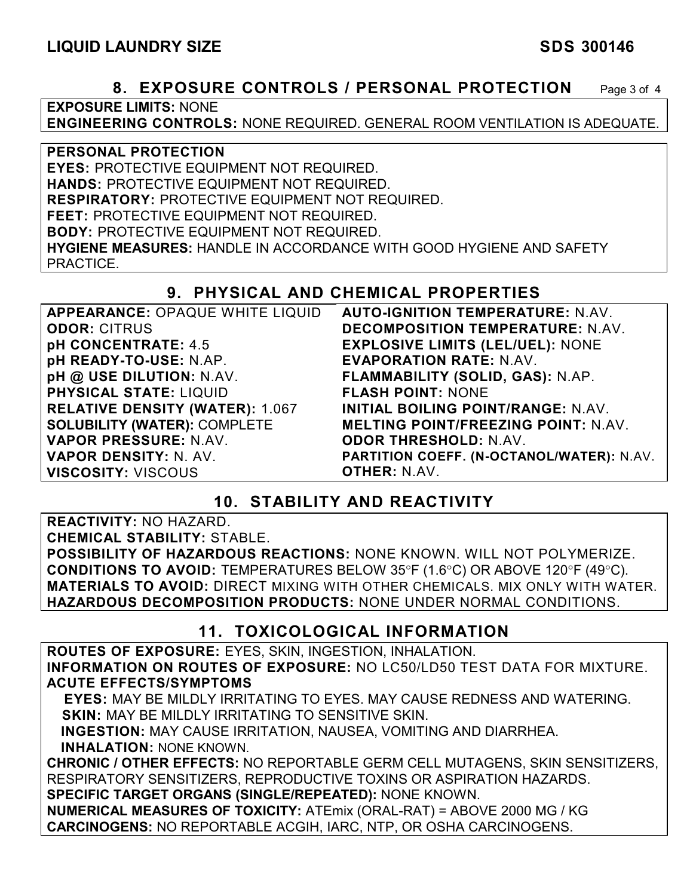**8. EXPOSURE CONTROLS / PERSONAL PROTECTION** Page 3 of 4

**EXPOSURE LIMITS:** NONE

**ENGINEERING CONTROLS:** NONE REQUIRED. GENERAL ROOM VENTILATION IS ADEQUATE.

**PERSONAL PROTECTION EYES:** PROTECTIVE EQUIPMENT NOT REQUIRED. **HANDS:** PROTECTIVE EQUIPMENT NOT REQUIRED. **RESPIRATORY:** PROTECTIVE EQUIPMENT NOT REQUIRED. **FEET:** PROTECTIVE EQUIPMENT NOT REQUIRED. **BODY:** PROTECTIVE EQUIPMENT NOT REQUIRED. **HYGIENE MEASURES:** HANDLE IN ACCORDANCE WITH GOOD HYGIENE AND SAFETY PRACTICE.

# **9. PHYSICAL AND CHEMICAL PROPERTIES**

| APPEARANCE: OPAQUE WHITE LIQUID        | <b>AUTO-IGNITION TEMPERATURE: N.AV.</b>    |
|----------------------------------------|--------------------------------------------|
| <b>ODOR: CITRUS</b>                    | <b>DECOMPOSITION TEMPERATURE: N.AV.</b>    |
| pH CONCENTRATE: 4.5                    | <b>EXPLOSIVE LIMITS (LEL/UEL): NONE</b>    |
| pH READY-TO-USE: N.AP.                 | <b>EVAPORATION RATE: N.AV.</b>             |
| pH @ USE DILUTION: N.AV.               | FLAMMABILITY (SOLID, GAS): N.AP.           |
| <b>PHYSICAL STATE: LIQUID</b>          | <b>FLASH POINT: NONE</b>                   |
| <b>RELATIVE DENSITY (WATER): 1.067</b> | INITIAL BOILING POINT/RANGE: N.AV.         |
| <b>SOLUBILITY (WATER): COMPLETE</b>    | <b>MELTING POINT/FREEZING POINT: N.AV.</b> |
| VAPOR PRESSURE: N.AV.                  | <b>ODOR THRESHOLD: N.AV.</b>               |
| <b>VAPOR DENSITY: N. AV.</b>           | PARTITION COEFF. (N-OCTANOL/WATER): N.AV.  |
| <b>VISCOSITY: VISCOUS</b>              | <b>OTHER: N.AV.</b>                        |

# **10. STABILITY AND REACTIVITY**

**REACTIVITY:** NO HAZARD.

**CHEMICAL STABILITY:** STABLE.

**POSSIBILITY OF HAZARDOUS REACTIONS:** NONE KNOWN. WILL NOT POLYMERIZE. **CONDITIONS TO AVOID:** TEMPERATURES BELOW 35°F (1.6°C) OR ABOVE 120°F (49°C). **MATERIALS TO AVOID:** DIRECT MIXING WITH OTHER CHEMICALS. MIX ONLY WITH WATER. **HAZARDOUS DECOMPOSITION PRODUCTS:** NONE UNDER NORMAL CONDITIONS.

# **11. TOXICOLOGICAL INFORMATION**

**ROUTES OF EXPOSURE:** EYES, SKIN, INGESTION, INHALATION. **INFORMATION ON ROUTES OF EXPOSURE:** NO LC50/LD50 TEST DATA FOR MIXTURE. **ACUTE EFFECTS/SYMPTOMS**

 **EYES:** MAY BE MILDLY IRRITATING TO EYES. MAY CAUSE REDNESS AND WATERING. **SKIN:** MAY BE MILDLY IRRITATING TO SENSITIVE SKIN.

 **INGESTION:** MAY CAUSE IRRITATION, NAUSEA, VOMITING AND DIARRHEA. **INHALATION:** NONE KNOWN.

**CHRONIC / OTHER EFFECTS:** NO REPORTABLE GERM CELL MUTAGENS, SKIN SENSITIZERS, RESPIRATORY SENSITIZERS, REPRODUCTIVE TOXINS OR ASPIRATION HAZARDS. **SPECIFIC TARGET ORGANS (SINGLE/REPEATED):** NONE KNOWN.

**NUMERICAL MEASURES OF TOXICITY:** ATEmix (ORAL-RAT) = ABOVE 2000 MG / KG **CARCINOGENS:** NO REPORTABLE ACGIH, IARC, NTP, OR OSHA CARCINOGENS.